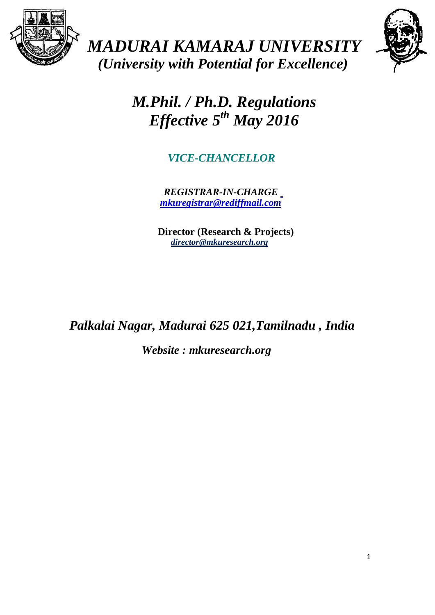

*MADURAI KAMARAJ UNIVERSITY (University with Potential for Excellence)*



*M.Phil. / Ph.D. Regulations Effective 5th May 2016*

*VICE-CHANCELLOR* 

*REGISTRAR-IN-CHARGE [mkuregistrar@rediffmail.com](mailto:%20mkuregistrar@rediffmail.co)*

 **Director (Research & Projects)** *director@mkuresearch.org*

*Palkalai Nagar, Madurai 625 021,Tamilnadu , India*

*Website : mkuresearch.org*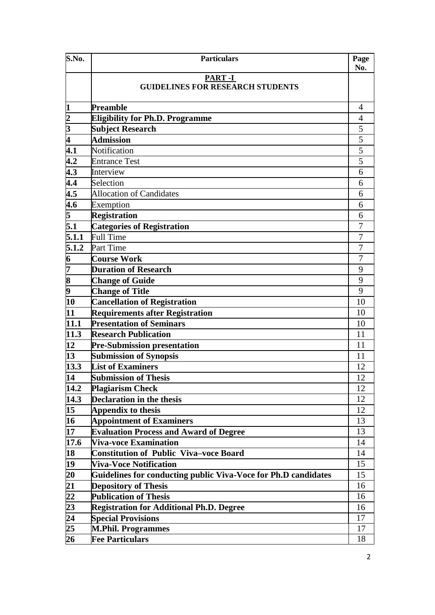| S.No.                                                 | <b>Particulars</b>                                             | Page<br>No.    |
|-------------------------------------------------------|----------------------------------------------------------------|----------------|
|                                                       | <b>PART-I</b><br><b>GUIDELINES FOR RESEARCH STUDENTS</b>       |                |
| <b>1</b>                                              | <b>Preamble</b>                                                | 4              |
| $\frac{2}{3}$                                         | <b>Eligibility for Ph.D. Programme</b>                         | 4              |
|                                                       | <b>Subject Research</b>                                        | 5              |
| 4                                                     | <b>Admission</b>                                               | $\overline{5}$ |
| $\overline{4.1}$                                      | Notification                                                   | $\overline{5}$ |
| 4.2                                                   | <b>Entrance Test</b>                                           | 5              |
| 4.3                                                   | Interview                                                      | 6              |
| 4.4                                                   | Selection                                                      | 6              |
| $\overline{4.5}$                                      | <b>Allocation of Candidates</b>                                | 6              |
| $4.\overline{6}$                                      | Exemption                                                      | 6              |
| $\overline{5}$                                        | <b>Registration</b>                                            | 6              |
| $\overline{5.1}$                                      | <b>Categories of Registration</b>                              | $\overline{7}$ |
| 5.1.1                                                 | <b>Full Time</b>                                               | 7              |
| 5.1.2                                                 | Part Time                                                      | 7              |
| $\frac{6}{7}$                                         | <b>Course Work</b>                                             | 7              |
|                                                       | <b>Duration of Research</b>                                    | 9              |
| $\frac{8}{9}$                                         | <b>Change of Guide</b>                                         | 9              |
|                                                       | <b>Change of Title</b>                                         | 9              |
| 10                                                    | <b>Cancellation of Registration</b>                            | 10             |
| 11                                                    | <b>Requirements after Registration</b>                         | 10             |
| 11.1                                                  | <b>Presentation of Seminars</b>                                | 10             |
| 11.3                                                  | <b>Research Publication</b>                                    | 11             |
| 12                                                    | Pre-Submission presentation                                    | 11             |
| 13                                                    | <b>Submission of Synopsis</b>                                  | 11             |
| 13.3                                                  | <b>List of Examiners</b>                                       | 12             |
| $\overline{14}$                                       | <b>Submission of Thesis</b>                                    | 12             |
| 14.2                                                  | <b>Plagiarism Check</b>                                        | 12             |
| $\overline{1}$ 4.3                                    | <b>Declaration in the thesis</b>                               | 12             |
| 15 <sup>15</sup>                                      | Appendix to thesis                                             | 12             |
| 16                                                    | <b>Appointment of Examiners</b>                                | 13             |
| 17                                                    | <b>Evaluation Process and Award of Degree</b>                  | 13             |
| 17.6                                                  | <b>Viva-voce Examination</b>                                   | 14             |
| 18                                                    | <b>Constitution of Public Viva-voce Board</b>                  | 14             |
| 19                                                    | <b>Viva-Voce Notification</b>                                  | 15             |
| $\overline{20}$                                       | Guidelines for conducting public Viva-Voce for Ph.D candidates | 15             |
| $\overline{21}$                                       | <b>Depository of Thesis</b>                                    | 16             |
|                                                       | <b>Publication of Thesis</b>                                   | 16             |
| $\frac{22}{23}$<br>$\frac{23}{24}$<br>$\frac{24}{25}$ | <b>Registration for Additional Ph.D. Degree</b>                | 16             |
|                                                       | <b>Special Provisions</b>                                      | 17             |
|                                                       | <b>M.Phil. Programmes</b>                                      | 17             |
| $\overline{26}$                                       | <b>Fee Particulars</b>                                         | 18             |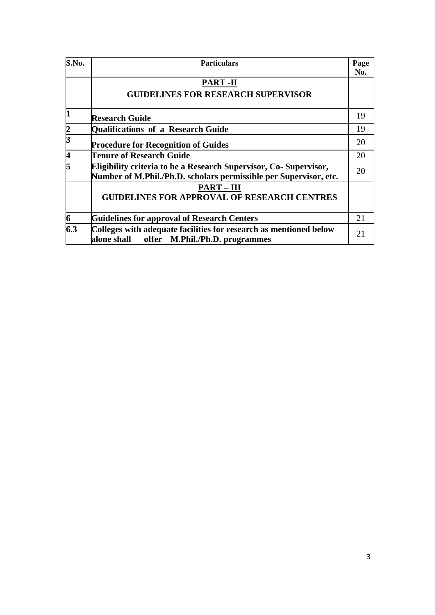| S.No.         | <b>Particulars</b>                                                                                                                    | Page<br>No. |
|---------------|---------------------------------------------------------------------------------------------------------------------------------------|-------------|
|               | <b>PART-II</b><br><b>GUIDELINES FOR RESEARCH SUPERVISOR</b>                                                                           |             |
| <b>1</b>      | <b>Research Guide</b>                                                                                                                 | 19          |
| $\frac{2}{3}$ | Qualifications of a Research Guide                                                                                                    | 19          |
|               | <b>Procedure for Recognition of Guides</b>                                                                                            | 20          |
| 4             | Tenure of Research Guide                                                                                                              | 20          |
| 5             | Eligibility criteria to be a Research Supervisor, Co-Supervisor,<br>Number of M.Phil./Ph.D. scholars permissible per Supervisor, etc. | 20          |
|               | <b>PART-III</b><br><b>GUIDELINES FOR APPROVAL OF RESEARCH CENTRES</b>                                                                 |             |
| 6             | <b>Guidelines for approval of Research Centers</b>                                                                                    | 21          |
| 6.3           | Colleges with adequate facilities for research as mentioned below<br>alone shall offer M.Phil./Ph.D. programmes                       | 21          |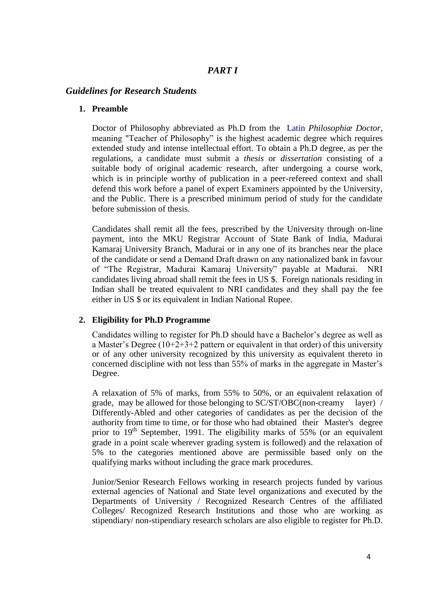# *PART I*

# *Guidelines for Research Students*

### **1. Preamble**

Doctor of Philosophy abbreviated as Ph.D from the [Latin](http://en.wikipedia.org/wiki/Latin) *Philosophiæ Doctor*, meaning "Teacher of Philosophy" is the highest academic degree which requires extended study and intense intellectual effort. To obtain a Ph.D degree, as per the regulations, a candidate must submit a *thesis* or *dissertation* consisting of a suitable body of original academic research, after undergoing a course work, which is in principle worthy of publication in a peer-refereed context and shall defend this work before a panel of expert Examiners appointed by the University, and the Public. There is a prescribed minimum period of study for the candidate before submission of thesis.

Candidates shall remit all the fees, prescribed by the University through on-line payment, into the MKU Registrar Account of State Bank of India, Madurai Kamaraj University Branch, Madurai or in any one of its branches near the place of the candidate or send a Demand Draft drawn on any nationalized bank in favour of "The Registrar, Madurai Kamaraj University" payable at Madurai. NRI candidates living abroad shall remit the fees in US \$. Foreign nationals residing in Indian shall be treated equivalent to NRI candidates and they shall pay the fee either in US \$ or its equivalent in Indian National Rupee.

# **2. Eligibility for Ph.D Programme**

Candidates willing to register for Ph.D should have a Bachelor's degree as well as a Master's Degree (10+2+3+2 pattern or equivalent in that order) of this university or of any other university recognized by this university as equivalent thereto in concerned discipline with not less than 55% of marks in the aggregate in Master's Degree.

A relaxation of 5% of marks, from 55% to 50%, or an equivalent relaxation of grade, may be allowed for those belonging to SC/ST/OBC(non-creamy layer) / Differently-Abled and other categories of candidates as per the decision of the authority from time to time, or for those who had obtained their Master's degree prior to  $19<sup>th</sup>$  September, 1991. The eligibility marks of 55% (or an equivalent grade in a point scale wherever grading system is followed) and the relaxation of 5% to the categories mentioned above are permissible based only on the qualifying marks without including the grace mark procedures.

Junior/Senior Research Fellows working in research projects funded by various external agencies of National and State level organizations and executed by the Departments of University / Recognized Research Centres of the affiliated Colleges/ Recognized Research Institutions and those who are working as stipendiary/ non-stipendiary research scholars are also eligible to register for Ph.D.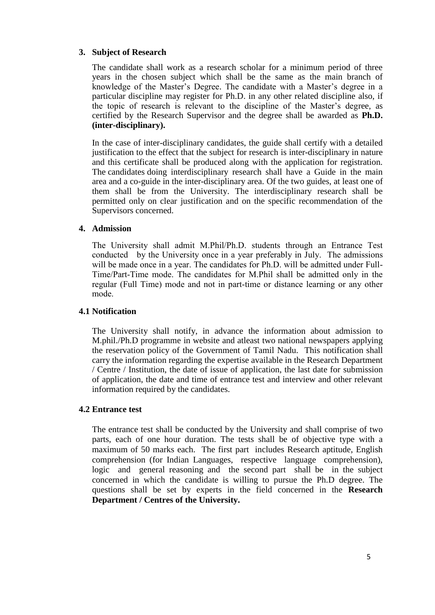# **3. Subject of Research**

The candidate shall work as a research scholar for a minimum period of three years in the chosen subject which shall be the same as the main branch of knowledge of the Master's Degree. The candidate with a Master's degree in a particular discipline may register for Ph.D. in any other related discipline also, if the topic of research is relevant to the discipline of the Master's degree, as certified by the Research Supervisor and the degree shall be awarded as **Ph.D. (inter-disciplinary).**

In the case of inter-disciplinary candidates, the guide shall certify with a detailed justification to the effect that the subject for research is inter-disciplinary in nature and this certificate shall be produced along with the application for registration. The candidates doing interdisciplinary research shall have a Guide in the main area and a co-guide in the inter-disciplinary area. Of the two guides, at least one of them shall be from the University. The interdisciplinary research shall be permitted only on clear justification and on the specific recommendation of the Supervisors concerned.

### **4. Admission**

The University shall admit M.Phil/Ph.D. students through an Entrance Test conducted by the University once in a year preferably in July. The admissions will be made once in a year. The candidates for Ph.D. will be admitted under Full-Time/Part-Time mode. The candidates for M.Phil shall be admitted only in the regular (Full Time) mode and not in part-time or distance learning or any other mode.

### **4.1 Notification**

The University shall notify, in advance the information about admission to M.phil./Ph.D programme in website and atleast two national newspapers applying the reservation policy of the Government of Tamil Nadu. This notification shall carry the information regarding the expertise available in the Research Department / Centre / Institution, the date of issue of application, the last date for submission of application, the date and time of entrance test and interview and other relevant information required by the candidates.

### **4.2 Entrance test**

The entrance test shall be conducted by the University and shall comprise of two parts, each of one hour duration. The tests shall be of objective type with a maximum of 50 marks each. The first part includes Research aptitude, English comprehension (for Indian Languages, respective language comprehension), logic and general reasoning and the second part shall be in the subject concerned in which the candidate is willing to pursue the Ph.D degree. The questions shall be set by experts in the field concerned in the **Research Department / Centres of the University.**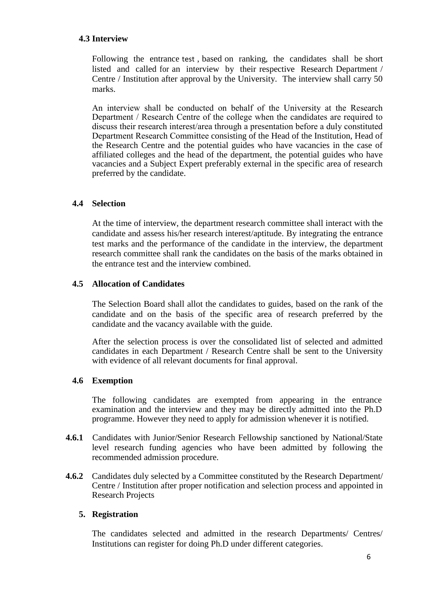### **4.3 Interview**

Following the entrance test , based on ranking, the candidates shall be short listed and called for an interview by their respective Research Department / Centre / Institution after approval by the University. The interview shall carry 50 marks.

An interview shall be conducted on behalf of the University at the Research Department / Research Centre of the college when the candidates are required to discuss their research interest/area through a presentation before a duly constituted Department Research Committee consisting of the Head of the Institution, Head of the Research Centre and the potential guides who have vacancies in the case of affiliated colleges and the head of the department, the potential guides who have vacancies and a Subject Expert preferably external in the specific area of research preferred by the candidate.

### **4.4 Selection**

At the time of interview, the department research committee shall interact with the candidate and assess his/her research interest/aptitude. By integrating the entrance test marks and the performance of the candidate in the interview, the department research committee shall rank the candidates on the basis of the marks obtained in the entrance test and the interview combined.

### **4.5 Allocation of Candidates**

The Selection Board shall allot the candidates to guides, based on the rank of the candidate and on the basis of the specific area of research preferred by the candidate and the vacancy available with the guide.

After the selection process is over the consolidated list of selected and admitted candidates in each Department / Research Centre shall be sent to the University with evidence of all relevant documents for final approval.

### **4.6 Exemption**

The following candidates are exempted from appearing in the entrance examination and the interview and they may be directly admitted into the Ph.D programme. However they need to apply for admission whenever it is notified.

- **4.6.1** Candidates with Junior/Senior Research Fellowship sanctioned by National/State level research funding agencies who have been admitted by following the recommended admission procedure.
- **4.6.2** Candidates duly selected by a Committee constituted by the Research Department/ Centre / Institution after proper notification and selection process and appointed in Research Projects

### **5. Registration**

The candidates selected and admitted in the research Departments/ Centres/ Institutions can register for doing Ph.D under different categories.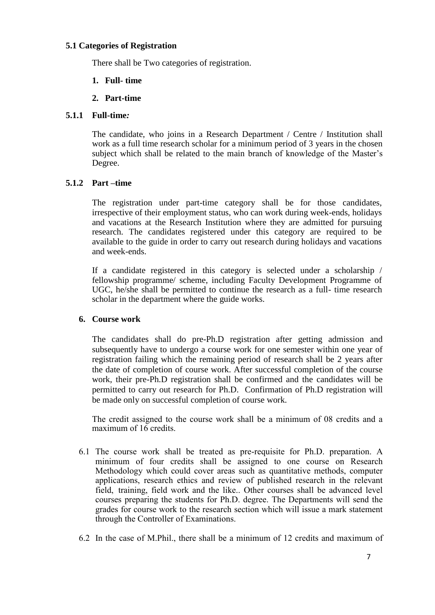### **5.1 Categories of Registration**

There shall be Two categories of registration.

# **1. Full- time**

**2. Part-time** 

## **5.1.1 Full-time***:*

The candidate, who joins in a Research Department / Centre / Institution shall work as a full time research scholar for a minimum period of 3 years in the chosen subject which shall be related to the main branch of knowledge of the Master's Degree.

# **5.1.2 Part –time**

The registration under part-time category shall be for those candidates, irrespective of their employment status, who can work during week-ends, holidays and vacations at the Research Institution where they are admitted for pursuing research. The candidates registered under this category are required to be available to the guide in order to carry out research during holidays and vacations and week-ends.

If a candidate registered in this category is selected under a scholarship / fellowship programme/ scheme, including Faculty Development Programme of UGC, he/she shall be permitted to continue the research as a full- time research scholar in the department where the guide works.

# **6. Course work**

The candidates shall do pre-Ph.D registration after getting admission and subsequently have to undergo a course work for one semester within one year of registration failing which the remaining period of research shall be 2 years after the date of completion of course work. After successful completion of the course work, their pre-Ph.D registration shall be confirmed and the candidates will be permitted to carry out research for Ph.D. Confirmation of Ph.D registration will be made only on successful completion of course work.

The credit assigned to the course work shall be a minimum of 08 credits and a maximum of  $16$  credits.

- 6.1 The course work shall be treated as pre-requisite for Ph.D. preparation. A minimum of four credits shall be assigned to one course on Research Methodology which could cover areas such as quantitative methods, computer applications, research ethics and review of published research in the relevant field, training, field work and the like.. Other courses shall be advanced level courses preparing the students for Ph.D. degree. The Departments will send the grades for course work to the research section which will issue a mark statement through the Controller of Examinations.
- 6.2 In the case of M.Phil., there shall be a minimum of 12 credits and maximum of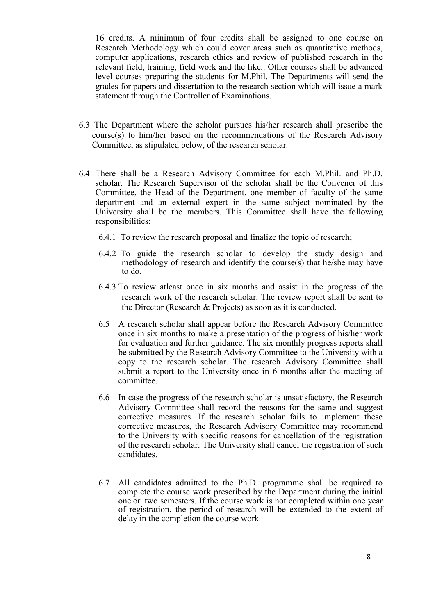16 credits. A minimum of four credits shall be assigned to one course on Research Methodology which could cover areas such as quantitative methods, computer applications, research ethics and review of published research in the relevant field, training, field work and the like.. Other courses shall be advanced level courses preparing the students for M.Phil. The Departments will send the grades for papers and dissertation to the research section which will issue a mark statement through the Controller of Examinations.

- 6.3 The Department where the scholar pursues his/her research shall prescribe the course(s) to him/her based on the recommendations of the Research Advisory Committee, as stipulated below, of the research scholar.
- 6.4 There shall be a Research Advisory Committee for each M.Phil. and Ph.D. scholar. The Research Supervisor of the scholar shall be the Convener of this Committee, the Head of the Department, one member of faculty of the same department and an external expert in the same subject nominated by the University shall be the members. This Committee shall have the following responsibilities:
	- 6.4.1 To review the research proposal and finalize the topic of research;
	- 6.4.2 To guide the research scholar to develop the study design and methodology of research and identify the course(s) that he/she may have to do.
	- 6.4.3 To review atleast once in six months and assist in the progress of the research work of the research scholar. The review report shall be sent to the Director (Research & Projects) as soon as it is conducted.
	- 6.5 A research scholar shall appear before the Research Advisory Committee once in six months to make a presentation of the progress of his/her work for evaluation and further guidance. The six monthly progress reports shall be submitted by the Research Advisory Committee to the University with a copy to the research scholar. The research Advisory Committee shall submit a report to the University once in 6 months after the meeting of committee.
	- 6.6 In case the progress of the research scholar is unsatisfactory, the Research Advisory Committee shall record the reasons for the same and suggest corrective measures. If the research scholar fails to implement these corrective measures, the Research Advisory Committee may recommend to the University with specific reasons for cancellation of the registration of the research scholar. The University shall cancel the registration of such candidates.
	- 6.7 All candidates admitted to the Ph.D. programme shall be required to complete the course work prescribed by the Department during the initial one or two semesters. If the course work is not completed within one year of registration, the period of research will be extended to the extent of delay in the completion the course work.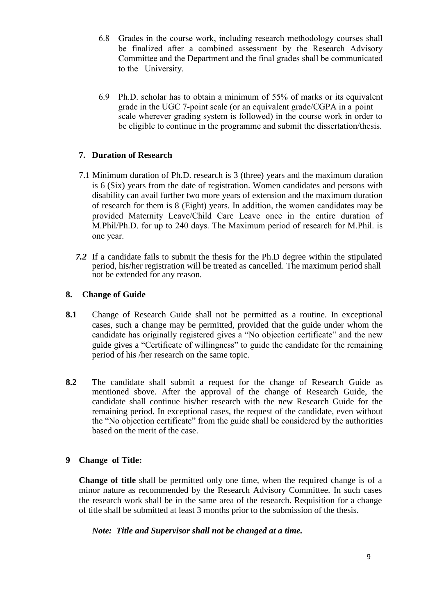- 6.8 Grades in the course work, including research methodology courses shall be finalized after a combined assessment by the Research Advisory Committee and the Department and the final grades shall be communicated to the University.
- 6.9 Ph.D. scholar has to obtain a minimum of 55% of marks or its equivalent grade in the UGC 7-point scale (or an equivalent grade/CGPA in a point scale wherever grading system is followed) in the course work in order to be eligible to continue in the programme and submit the dissertation/thesis.

# **7. Duration of Research**

- 7.1 Minimum duration of Ph.D. research is 3 (three) years and the maximum duration is 6 (Six) years from the date of registration. Women candidates and persons with disability can avail further two more years of extension and the maximum duration of research for them is 8 (Eight) years. In addition, the women candidates may be provided Maternity Leave/Child Care Leave once in the entire duration of M.Phil/Ph.D. for up to 240 days. The Maximum period of research for M.Phil. is one year.
- *7.2* If a candidate fails to submit the thesis for the Ph.D degree within the stipulated period, his/her registration will be treated as cancelled. The maximum period shall not be extended for any reason.

### **8. Change of Guide**

- **8.1** Change of Research Guide shall not be permitted as a routine. In exceptional cases, such a change may be permitted, provided that the guide under whom the candidate has originally registered gives a "No objection certificate" and the new guide gives a "Certificate of willingness" to guide the candidate for the remaining period of his /her research on the same topic.
- **8.2** The candidate shall submit a request for the change of Research Guide as mentioned sbove. After the approval of the change of Research Guide, the candidate shall continue his/her research with the new Research Guide for the remaining period. In exceptional cases, the request of the candidate, even without the "No objection certificate" from the guide shall be considered by the authorities based on the merit of the case.

### **9 Change of Title:**

**Change of title** shall be permitted only one time, when the required change is of a minor nature as recommended by the Research Advisory Committee. In such cases the research work shall be in the same area of the research. Requisition for a change of title shall be submitted at least 3 months prior to the submission of the thesis.

*Note: Title and Supervisor shall not be changed at a time.*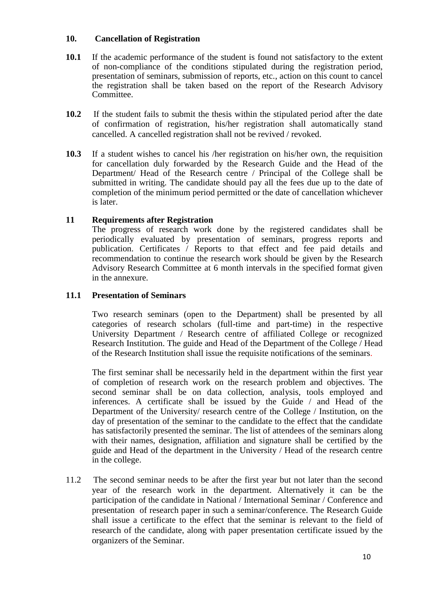### **10. Cancellation of Registration**

- **10.1** If the academic performance of the student is found not satisfactory to the extent of non-compliance of the conditions stipulated during the registration period, presentation of seminars, submission of reports, etc., action on this count to cancel the registration shall be taken based on the report of the Research Advisory Committee.
- **10.2** If the student fails to submit the thesis within the stipulated period after the date of confirmation of registration, his/her registration shall automatically stand cancelled. A cancelled registration shall not be revived / revoked.
- **10.3** If a student wishes to cancel his /her registration on his/her own, the requisition for cancellation duly forwarded by the Research Guide and the Head of the Department/ Head of the Research centre / Principal of the College shall be submitted in writing. The candidate should pay all the fees due up to the date of completion of the minimum period permitted or the date of cancellation whichever is later.

# **11 Requirements after Registration**

The progress of research work done by the registered candidates shall be periodically evaluated by presentation of seminars, progress reports and publication. Certificates / Reports to that effect and fee paid details and recommendation to continue the research work should be given by the Research Advisory Research Committee at 6 month intervals in the specified format given in the annexure.

# **11.1 Presentation of Seminars**

Two research seminars (open to the Department) shall be presented by all categories of research scholars (full-time and part-time) in the respective University Department / Research centre of affiliated College or recognized Research Institution. The guide and Head of the Department of the College / Head of the Research Institution shall issue the requisite notifications of the seminars.

The first seminar shall be necessarily held in the department within the first year of completion of research work on the research problem and objectives. The second seminar shall be on data collection, analysis, tools employed and inferences. A certificate shall be issued by the Guide / and Head of the Department of the University/ research centre of the College / Institution, on the day of presentation of the seminar to the candidate to the effect that the candidate has satisfactorily presented the seminar. The list of attendees of the seminars along with their names, designation, affiliation and signature shall be certified by the guide and Head of the department in the University / Head of the research centre in the college.

11.2 The second seminar needs to be after the first year but not later than the second year of the research work in the department. Alternatively it can be the participation of the candidate in National / International Seminar / Conference and presentation of research paper in such a seminar/conference. The Research Guide shall issue a certificate to the effect that the seminar is relevant to the field of research of the candidate, along with paper presentation certificate issued by the organizers of the Seminar.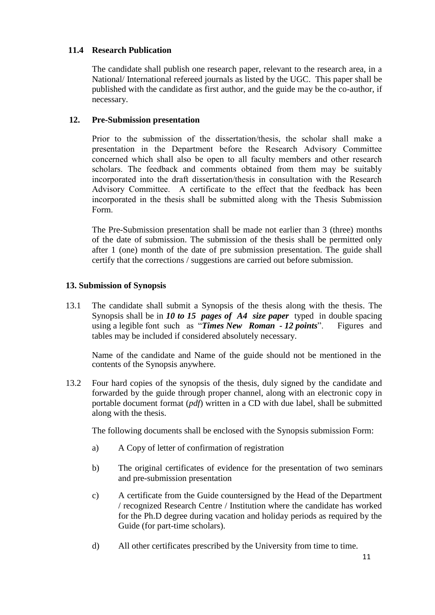# **11.4 Research Publication**

The candidate shall publish one research paper, relevant to the research area, in a National/ International refereed journals as listed by the UGC. This paper shall be published with the candidate as first author, and the guide may be the co-author, if necessary.

### **12. Pre-Submission presentation**

Prior to the submission of the dissertation/thesis, the scholar shall make a presentation in the Department before the Research Advisory Committee concerned which shall also be open to all faculty members and other research scholars. The feedback and comments obtained from them may be suitably incorporated into the draft dissertation/thesis in consultation with the Research Advisory Committee. A certificate to the effect that the feedback has been incorporated in the thesis shall be submitted along with the Thesis Submission Form.

The Pre-Submission presentation shall be made not earlier than 3 (three) months of the date of submission. The submission of the thesis shall be permitted only after 1 (one) month of the date of pre submission presentation. The guide shall certify that the corrections / suggestions are carried out before submission.

### **13. Submission of Synopsis**

13.1 The candidate shall submit a Synopsis of the thesis along with the thesis. The Synopsis shall be in *10 to 15 pages of A4 size paper* typed in double spacing using a legible font such as "*Times New Roman - 12 points*".Figures and tables may be included if considered absolutely necessary.

Name of the candidate and Name of the guide should not be mentioned in the contents of the Synopsis anywhere.

13.2 Four hard copies of the synopsis of the thesis, duly signed by the candidate and forwarded by the guide through proper channel, along with an electronic copy in portable document format (*pdf*) written in a CD with due label, shall be submitted along with the thesis.

The following documents shall be enclosed with the Synopsis submission Form:

- a) A Copy of letter of confirmation of registration
- b) The original certificates of evidence for the presentation of two seminars and pre-submission presentation
- c) A certificate from the Guide countersigned by the Head of the Department / recognized Research Centre / Institution where the candidate has worked for the Ph.D degree during vacation and holiday periods as required by the Guide (for part-time scholars).
- d) All other certificates prescribed by the University from time to time.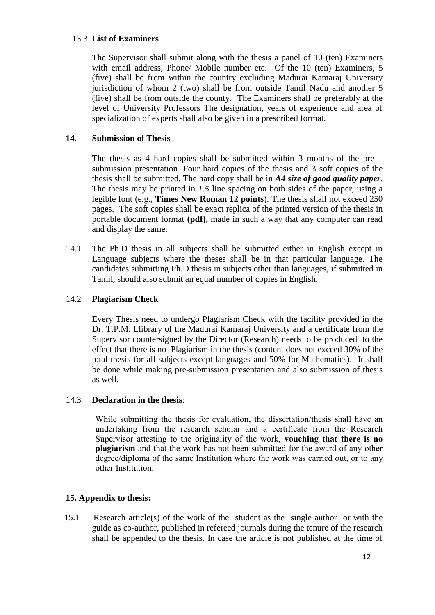### 13.3 **List of Examiners**

The Supervisor shall submit along with the thesis a panel of 10 (ten) Examiners with email address, Phone/ Mobile number etc. Of the 10 (ten) Examiners, 5 (five) shall be from within the country excluding Madurai Kamaraj University jurisdiction of whom 2 (two) shall be from outside Tamil Nadu and another 5 (five) shall be from outside the county. The Examiners shall be preferably at the level of University Professors The designation, years of experience and area of specialization of experts shall also be given in a prescribed format.

## **14. Submission of Thesis**

The thesis as 4 hard copies shall be submitted within 3 months of the pre – submission presentation. Four hard copies of the thesis and 3 soft copies of the thesis shall be submitted. The hard copy shall be in *A4 size of good quality paper*. The thesis may be printed in *1.5* line spacing on both sides of the paper, using a legible font (e.g., **Times New Roman 12 points**). The thesis shall not exceed 250 pages. The soft copies shall be exact replica of the printed version of the thesis in portable document format **(pdf),** made in such a way that any computer can read and display the same.

14.1 The Ph.D thesis in all subjects shall be submitted either in English except in Language subjects where the theses shall be in that particular language. The candidates submitting Ph.D thesis in subjects other than languages, if submitted in Tamil, should also submit an equal number of copies in English.

# 14.2 **Plagiarism Check**

Every Thesis need to undergo Plagiarism Check with the facility provided in the Dr. T.P.M. Llibrary of the Madurai Kamaraj University and a certificate from the Supervisor countersigned by the Director (Research) needs to be produced to the effect that there is no Plagiarism in the thesis (content does not exceed 30% of the total thesis for all subjects except languages and 50% for Mathematics). It shall be done while making pre-submission presentation and also submission of thesis as well.

### 14.3 **Declaration in the thesis**:

While submitting the thesis for evaluation, the dissertation/thesis shall have an undertaking from the research scholar and a certificate from the Research Supervisor attesting to the originality of the work, **vouching that there is no plagiarism** and that the work has not been submitted for the award of any other degree/diploma of the same Institution where the work was carried out, or to any other Institution.

# **15. Appendix to thesis:**

15.1 Research article(s) of the work of the student as the single author or with the guide as co-author, published in refereed journals during the tenure of the research shall be appended to the thesis. In case the article is not published at the time of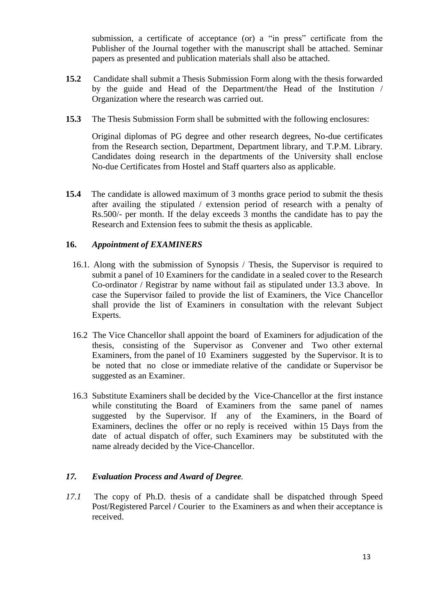submission, a certificate of acceptance (or) a "in press" certificate from the Publisher of the Journal together with the manuscript shall be attached. Seminar papers as presented and publication materials shall also be attached.

- **15.2** Candidate shall submit a Thesis Submission Form along with the thesis forwarded by the guide and Head of the Department/the Head of the Institution / Organization where the research was carried out.
- **15.3** The Thesis Submission Form shall be submitted with the following enclosures:

Original diplomas of PG degree and other research degrees, No-due certificates from the Research section, Department, Department library, and T.P.M. Library. Candidates doing research in the departments of the University shall enclose No-due Certificates from Hostel and Staff quarters also as applicable.

**15.4** The candidate is allowed maximum of 3 months grace period to submit the thesis after availing the stipulated / extension period of research with a penalty of Rs.500/- per month. If the delay exceeds 3 months the candidate has to pay the Research and Extension fees to submit the thesis as applicable.

### **16.** *Appointment of EXAMINERS*

- 16.1*.* Along with the submission of Synopsis / Thesis, the Supervisor is required to submit a panel of 10 Examiners for the candidate in a sealed cover to the Research Co-ordinator / Registrar by name without fail as stipulated under 13.3 above. In case the Supervisor failed to provide the list of Examiners, the Vice Chancellor shall provide the list of Examiners in consultation with the relevant Subject Experts.
- 16.2 The Vice Chancellor shall appoint the board of Examiners for adjudication of the thesis, consisting of the Supervisor as Convener and Two other external Examiners, from the panel of 10 Examiners suggested by the Supervisor. It is to be noted that no close or immediate relative of the candidate or Supervisor be suggested as an Examiner.
- 16.3 Substitute Examiners shall be decided by the Vice-Chancellor at the first instance while constituting the Board of Examiners from the same panel of names suggested by the Supervisor. If any of the Examiners, in the Board of Examiners, declines the offer or no reply is received within 15 Days from the date of actual dispatch of offer, such Examiners may be substituted with the name already decided by the Vice-Chancellor.

### *17. Evaluation Process and Award of Degree.*

*17.1* The copy of Ph.D. thesis of a candidate shall be dispatched through Speed Post/Registered Parcel **/** Courier to the Examiners as and when their acceptance is received.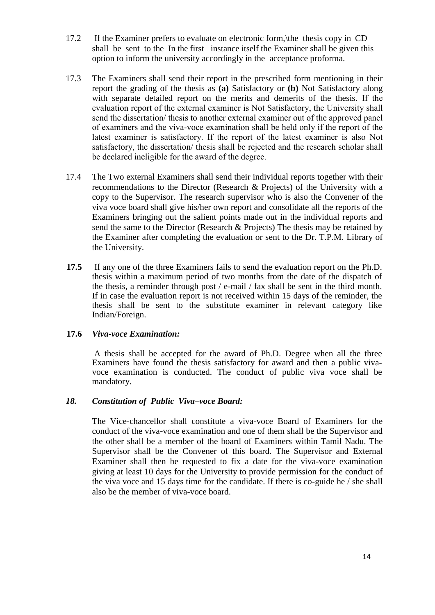- 17.2 If the Examiner prefers to evaluate on electronic form,\the thesis copy in CD shall be sent to the In the first instance itself the Examiner shall be given this option to inform the university accordingly in the acceptance proforma.
- 17.3 The Examiners shall send their report in the prescribed form mentioning in their report the grading of the thesis as **(a)** Satisfactory or **(b)** Not Satisfactory along with separate detailed report on the merits and demerits of the thesis. If the evaluation report of the external examiner is Not Satisfactory, the University shall send the dissertation/ thesis to another external examiner out of the approved panel of examiners and the viva-voce examination shall be held only if the report of the latest examiner is satisfactory. If the report of the latest examiner is also Not satisfactory, the dissertation/ thesis shall be rejected and the research scholar shall be declared ineligible for the award of the degree.
- 17.4 The Two external Examiners shall send their individual reports together with their recommendations to the Director (Research & Projects) of the University with a copy to the Supervisor. The research supervisor who is also the Convener of the viva voce board shall give his/her own report and consolidate all the reports of the Examiners bringing out the salient points made out in the individual reports and send the same to the Director (Research & Projects) The thesis may be retained by the Examiner after completing the evaluation or sent to the Dr. T.P.M. Library of the University.
- **17.5** If any one of the three Examiners fails to send the evaluation report on the Ph.D. thesis within a maximum period of two months from the date of the dispatch of the thesis, a reminder through post / e-mail / fax shall be sent in the third month. If in case the evaluation report is not received within 15 days of the reminder, the thesis shall be sent to the substitute examiner in relevant category like Indian/Foreign.

### **17.6** *Viva-voce Examination:*

A thesis shall be accepted for the award of Ph.D. Degree when all the three Examiners have found the thesis satisfactory for award and then a public vivavoce examination is conducted. The conduct of public viva voce shall be mandatory.

### *18. Constitution of Public Viva–voce Board:*

The Vice-chancellor shall constitute a viva-voce Board of Examiners for the conduct of the viva-voce examination and one of them shall be the Supervisor and the other shall be a member of the board of Examiners within Tamil Nadu. The Supervisor shall be the Convener of this board. The Supervisor and External Examiner shall then be requested to fix a date for the viva-voce examination giving at least 10 days for the University to provide permission for the conduct of the viva voce and 15 days time for the candidate. If there is co-guide he / she shall also be the member of viva-voce board.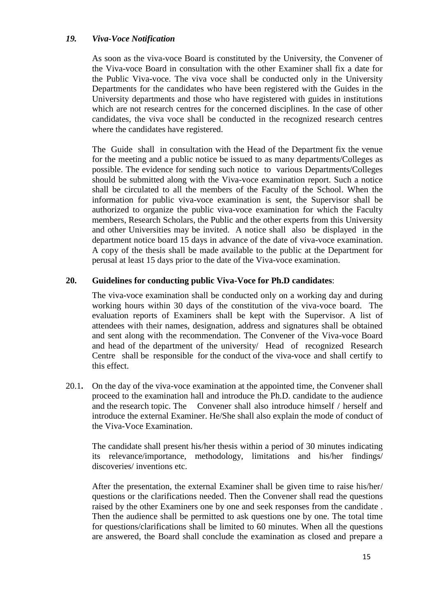### *19. Viva-Voce Notification*

As soon as the viva-voce Board is constituted by the University, the Convener of the Viva-voce Board in consultation with the other Examiner shall fix a date for the Public Viva-voce. The viva voce shall be conducted only in the University Departments for the candidates who have been registered with the Guides in the University departments and those who have registered with guides in institutions which are not research centres for the concerned disciplines. In the case of other candidates, the viva voce shall be conducted in the recognized research centres where the candidates have registered.

The Guide shall in consultation with the Head of the Department fix the venue for the meeting and a public notice be issued to as many departments/Colleges as possible. The evidence for sending such notice to various Departments/Colleges should be submitted along with the Viva-voce examination report. Such a notice shall be circulated to all the members of the Faculty of the School. When the information for public viva-voce examination is sent, the Supervisor shall be authorized to organize the public viva-voce examination for which the Faculty members, Research Scholars, the Public and the other experts from this University and other Universities may be invited. A notice shall also be displayed in the department notice board 15 days in advance of the date of viva-voce examination. A copy of the thesis shall be made available to the public at the Department for perusal at least 15 days prior to the date of the Viva-voce examination.

### **20. Guidelines for conducting public Viva-Voce for Ph.D candidates**:

The viva-voce examination shall be conducted only on a working day and during working hours within 30 days of the constitution of the viva-voce board. The evaluation reports of Examiners shall be kept with the Supervisor. A list of attendees with their names, designation, address and signatures shall be obtained and sent along with the recommendation. The Convener of the Viva-voce Board and head of the department of the university/ Head of recognized Research Centre shall be responsible for the conduct of the viva-voce and shall certify to this effect.

20.1**.** On the day of the viva-voce examination at the appointed time, the Convener shall proceed to the examination hall and introduce the Ph.D. candidate to the audience and the research topic. The Convener shall also introduce himself / herself and introduce the external Examiner. He/She shall also explain the mode of conduct of the Viva-Voce Examination.

The candidate shall present his/her thesis within a period of 30 minutes indicating its relevance/importance, methodology, limitations and his/her findings/ discoveries/ inventions etc.

After the presentation, the external Examiner shall be given time to raise his/her/ questions or the clarifications needed. Then the Convener shall read the questions raised by the other Examiners one by one and seek responses from the candidate . Then the audience shall be permitted to ask questions one by one. The total time for questions/clarifications shall be limited to 60 minutes. When all the questions are answered, the Board shall conclude the examination as closed and prepare a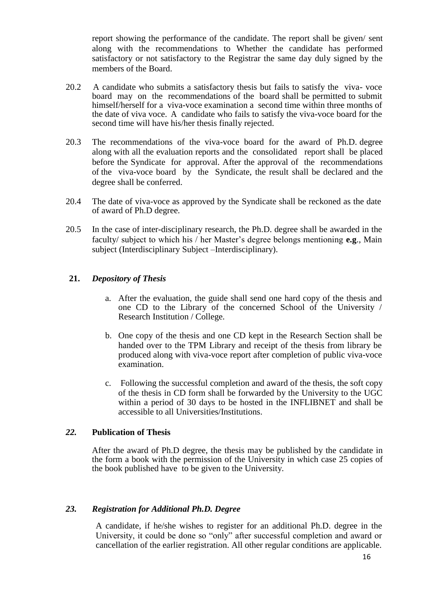report showing the performance of the candidate. The report shall be given/ sent along with the recommendations to Whether the candidate has performed satisfactory or not satisfactory to the Registrar the same day duly signed by the members of the Board.

- 20.2 A candidate who submits a satisfactory thesis but fails to satisfy the viva- voce board may on the recommendations of the board shall be permitted to submit himself/herself for a viva-voce examination a second time within three months of the date of viva voce. A candidate who fails to satisfy the viva-voce board for the second time will have his/her thesis finally rejected.
- 20.3 The recommendations of the viva-voce board for the award of Ph.D. degree along with all the evaluation reports and the consolidated report shall be placed before the Syndicate for approval. After the approval of the recommendations of the viva-voce board by the Syndicate, the result shall be declared and the degree shall be conferred.
- 20.4 The date of viva-voce as approved by the Syndicate shall be reckoned as the date of award of Ph.D degree.
- 20.5 In the case of inter-disciplinary research, the Ph.D. degree shall be awarded in the faculty/ subject to which his / her Master's degree belongs mentioning **e.g**., Main subject (Interdisciplinary Subject –Interdisciplinary).

### **21.** *Depository of Thesis*

- a. After the evaluation, the guide shall send one hard copy of the thesis and one CD to the Library of the concerned School of the University / Research Institution / College.
- b. One copy of the thesis and one CD kept in the Research Section shall be handed over to the TPM Library and receipt of the thesis from library be produced along with viva-voce report after completion of public viva-voce examination.
- c. Following the successful completion and award of the thesis, the soft copy of the thesis in CD form shall be forwarded by the University to the UGC within a period of 30 days to be hosted in the INFLIBNET and shall be accessible to all Universities/Institutions.

### *22.* **Publication of Thesis**

After the award of Ph.D degree, the thesis may be published by the candidate in the form a book with the permission of the University in which case 25 copies of the book published have to be given to the University.

### *23. Registration for Additional Ph.D. Degree*

A candidate, if he/she wishes to register for an additional Ph.D. degree in the University, it could be done so "only" after successful completion and award or cancellation of the earlier registration. All other regular conditions are applicable.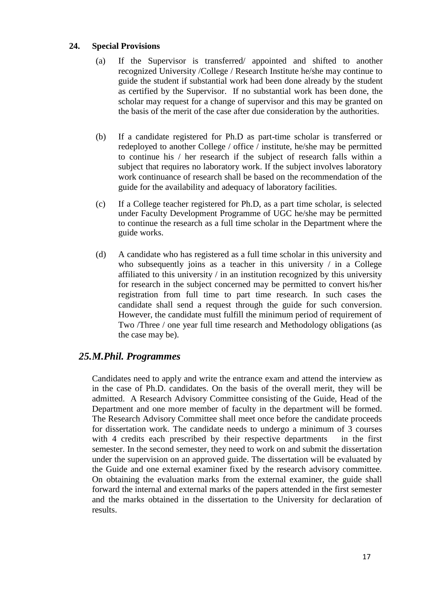### **24. Special Provisions**

- (a) If the Supervisor is transferred/ appointed and shifted to another recognized University /College / Research Institute he/she may continue to guide the student if substantial work had been done already by the student as certified by the Supervisor. If no substantial work has been done, the scholar may request for a change of supervisor and this may be granted on the basis of the merit of the case after due consideration by the authorities.
- (b) If a candidate registered for Ph.D as part-time scholar is transferred or redeployed to another College / office / institute, he/she may be permitted to continue his / her research if the subject of research falls within a subject that requires no laboratory work. If the subject involves laboratory work continuance of research shall be based on the recommendation of the guide for the availability and adequacy of laboratory facilities.
- (c) If a College teacher registered for Ph.D, as a part time scholar, is selected under Faculty Development Programme of UGC he/she may be permitted to continue the research as a full time scholar in the Department where the guide works.
- (d) A candidate who has registered as a full time scholar in this university and who subsequently joins as a teacher in this university  $\ell$  in a College affiliated to this university / in an institution recognized by this university for research in the subject concerned may be permitted to convert his/her registration from full time to part time research. In such cases the candidate shall send a request through the guide for such conversion. However, the candidate must fulfill the minimum period of requirement of Two /Three / one year full time research and Methodology obligations (as the case may be).

# *25.M.Phil. Programmes*

Candidates need to apply and write the entrance exam and attend the interview as in the case of Ph.D. candidates. On the basis of the overall merit, they will be admitted. A Research Advisory Committee consisting of the Guide, Head of the Department and one more member of faculty in the department will be formed. The Research Advisory Committee shall meet once before the candidate proceeds for dissertation work. The candidate needs to undergo a minimum of 3 courses with 4 credits each prescribed by their respective departments in the first semester. In the second semester, they need to work on and submit the dissertation under the supervision on an approved guide. The dissertation will be evaluated by the Guide and one external examiner fixed by the research advisory committee. On obtaining the evaluation marks from the external examiner, the guide shall forward the internal and external marks of the papers attended in the first semester and the marks obtained in the dissertation to the University for declaration of results.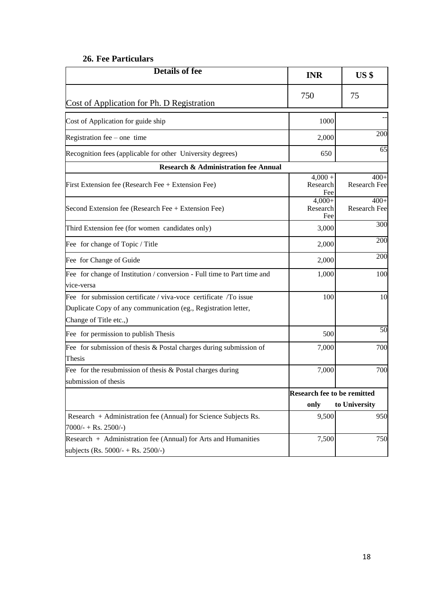### **26. Fee Particulars**

| <b>Details of fee</b>                                                        | <b>INR</b>                   | US <sub>s</sub>        |  |
|------------------------------------------------------------------------------|------------------------------|------------------------|--|
| Cost of Application for Ph. D Registration                                   | 750                          | 75                     |  |
| Cost of Application for guide ship                                           | 1000                         |                        |  |
| Registration fee $-$ one time                                                | 2,000                        | 200                    |  |
| Recognition fees (applicable for other University degrees)                   | 650                          | 65                     |  |
| <b>Research &amp; Administration fee Annual</b>                              |                              |                        |  |
| First Extension fee (Research Fee + Extension Fee)                           | $4,000 +$<br>Research<br>Fee | $400+$<br>Research Fee |  |
| Second Extension fee (Research Fee + Extension Fee)                          | $4,000+$<br>Research<br>Fee  | $400+$<br>Research Fee |  |
| Third Extension fee (for women candidates only)                              | 3,000                        | 300                    |  |
| Fee for change of Topic / Title                                              | 2,000                        | 200                    |  |
| Fee for Change of Guide                                                      | 2,000                        | 200                    |  |
| Fee for change of Institution / conversion - Full time to Part time and      | 1,000                        | 100                    |  |
| vice-versa                                                                   |                              |                        |  |
| Fee for submission certificate / viva-voce certificate / To issue            | 100                          | 10                     |  |
| Duplicate Copy of any communication (eg., Registration letter,               |                              |                        |  |
| Change of Title etc.,)<br>Fee for permission to publish Thesis               | 500                          | $\overline{50}$        |  |
|                                                                              |                              |                        |  |
| Fee for submission of thesis & Postal charges during submission of<br>Thesis | 7,000                        | 700                    |  |
| Fee for the resubmission of thesis $&$ Postal charges during                 | 7,000                        | 700                    |  |
| submission of thesis                                                         |                              |                        |  |
|                                                                              | Research fee to be remitted  |                        |  |
|                                                                              | only                         | to University          |  |
| Research + Administration fee (Annual) for Science Subjects Rs.              | 9,500                        | 950                    |  |
| $7000/- + Rs. 2500/-$                                                        |                              |                        |  |
| Research $+$ Administration fee (Annual) for Arts and Humanities             | 7,500                        | 750                    |  |
| subjects (Rs. $5000/- +$ Rs. $2500/-$ )                                      |                              |                        |  |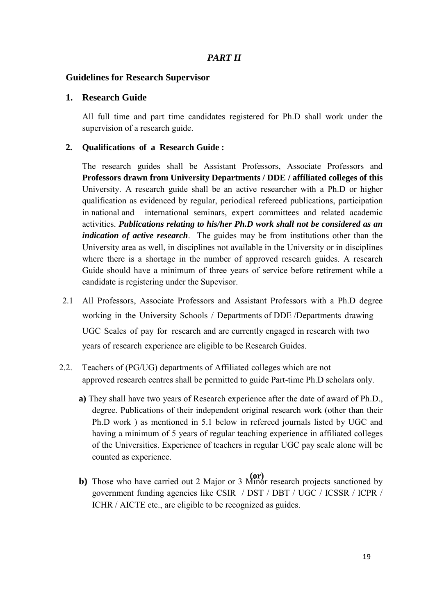## *PART II*

#### **Guidelines for Research Supervisor**

#### **1. Research Guide**

All full time and part time candidates registered for Ph.D shall work under the supervision of a research guide.

#### **2. Qualifications of a Research Guide :**

The research guides shall be Assistant Professors, Associate Professors and **Professors drawn from University Departments / DDE / affiliated colleges of this** University. A research guide shall be an active researcher with a Ph.D or higher qualification as evidenced by regular, periodical refereed publications, participation in national and international seminars, expert committees and related academic activities. *Publications relating to his/her Ph.D work shall not be considered as an indication of active research*. The guides may be from institutions other than the University area as well, in disciplines not available in the University or in disciplines where there is a shortage in the number of approved research guides. A research Guide should have a minimum of three years of service before retirement while a candidate is registering under the Supevisor.

- 2.1 All Professors, Associate Professors and Assistant Professors with a Ph.D degree working in the University Schools / Departments of DDE /Departments drawing UGC Scales of pay for research and are currently engaged in research with two years of research experience are eligible to be Research Guides.
- 2.2. Teachers of (PG/UG) departments of Affiliated colleges which are not approved research centres shall be permitted to guide Part-time Ph.D scholars only.
	- **a)** They shall have two years of Research experience after the date of award of Ph.D., degree. Publications of their independent original research work (other than their Ph.D work ) as mentioned in 5.1 below in refereed journals listed by UGC and having a minimum of 5 years of regular teaching experience in affiliated colleges of the Universities. Experience of teachers in regular UGC pay scale alone will be counted as experience.
	- **b**) Those who have carried out 2 Major or 3 Minor research projects sanctioned by government funding agencies like CSIR / DST / DBT / UGC / ICSSR / ICPR / ICHR / AICTE etc., are eligible to be recognized as guides.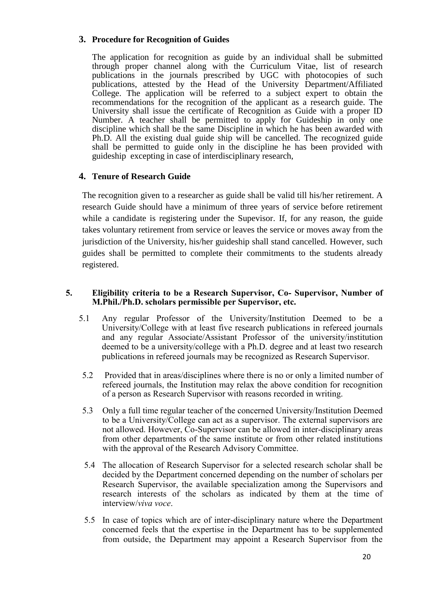## **3. Procedure for Recognition of Guides**

The application for recognition as guide by an individual shall be submitted through proper channel along with the Curriculum Vitae, list of research publications in the journals prescribed by UGC with photocopies of such publications, attested by the Head of the University Department/Affiliated College. The application will be referred to a subject expert to obtain the recommendations for the recognition of the applicant as a research guide. The University shall issue the certificate of Recognition as Guide with a proper ID Number. A teacher shall be permitted to apply for Guideship in only one discipline which shall be the same Discipline in which he has been awarded with Ph.D. All the existing dual guide ship will be cancelled. The recognized guide shall be permitted to guide only in the discipline he has been provided with guideship excepting in case of interdisciplinary research,

# **4. Tenure of Research Guide**

The recognition given to a researcher as guide shall be valid till his/her retirement. A research Guide should have a minimum of three years of service before retirement while a candidate is registering under the Supevisor. If, for any reason, the guide takes voluntary retirement from service or leaves the service or moves away from the jurisdiction of the University, his/her guideship shall stand cancelled. However, such guides shall be permitted to complete their commitments to the students already registered.

#### **5. Eligibility criteria to be a Research Supervisor, Co- Supervisor, Number of M.Phil./Ph.D. scholars permissible per Supervisor, etc.**

- 5.1 Any regular Professor of the University/Institution Deemed to be a University/College with at least five research publications in refereed journals and any regular Associate/Assistant Professor of the university/institution deemed to be a university/college with a Ph.D. degree and at least two research publications in refereed journals may be recognized as Research Supervisor.
- 5.2 Provided that in areas/disciplines where there is no or only a limited number of refereed journals, the Institution may relax the above condition for recognition of a person as Research Supervisor with reasons recorded in writing.
- 5.3 Only a full time regular teacher of the concerned University/Institution Deemed to be a University/College can act as a supervisor. The external supervisors are not allowed. However, Co-Supervisor can be allowed in inter-disciplinary areas from other departments of the same institute or from other related institutions with the approval of the Research Advisory Committee.
- 5.4 The allocation of Research Supervisor for a selected research scholar shall be decided by the Department concerned depending on the number of scholars per Research Supervisor, the available specialization among the Supervisors and research interests of the scholars as indicated by them at the time of interview/*viva voce*.
- 5.5 In case of topics which are of inter-disciplinary nature where the Department concerned feels that the expertise in the Department has to be supplemented from outside, the Department may appoint a Research Supervisor from the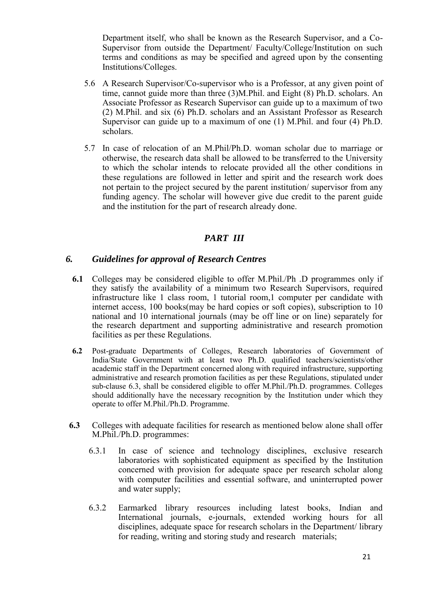Department itself, who shall be known as the Research Supervisor, and a Co-Supervisor from outside the Department/ Faculty/College/Institution on such terms and conditions as may be specified and agreed upon by the consenting Institutions/Colleges.

- 5.6 A Research Supervisor/Co-supervisor who is a Professor, at any given point of time, cannot guide more than three (3)M.Phil. and Eight (8) Ph.D. scholars. An Associate Professor as Research Supervisor can guide up to a maximum of two (2) M.Phil. and six (6) Ph.D. scholars and an Assistant Professor as Research Supervisor can guide up to a maximum of one (1) M.Phil. and four (4) Ph.D. scholars.
- 5.7 In case of relocation of an M.Phil/Ph.D. woman scholar due to marriage or otherwise, the research data shall be allowed to be transferred to the University to which the scholar intends to relocate provided all the other conditions in these regulations are followed in letter and spirit and the research work does not pertain to the project secured by the parent institution/ supervisor from any funding agency. The scholar will however give due credit to the parent guide and the institution for the part of research already done.

# *PART III*

### *6. Guidelines for approval of Research Centres*

- **6.1** Colleges may be considered eligible to offer M.Phil./Ph .D programmes only if they satisfy the availability of a minimum two Research Supervisors, required infrastructure like 1 class room, 1 tutorial room,1 computer per candidate with internet access, 100 books(may be hard copies or soft copies), subscription to 10 national and 10 international journals (may be off line or on line) separately for the research department and supporting administrative and research promotion facilities as per these Regulations.
- **6.2** Post-graduate Departments of Colleges, Research laboratories of Government of India/State Government with at least two Ph.D. qualified teachers/scientists/other academic staff in the Department concerned along with required infrastructure, supporting administrative and research promotion facilities as per these Regulations, stipulated under sub-clause 6.3, shall be considered eligible to offer M.Phil./Ph.D. programmes. Colleges should additionally have the necessary recognition by the Institution under which they operate to offer M.Phil./Ph.D. Programme.
- **6.3** Colleges with adequate facilities for research as mentioned below alone shall offer M.Phil./Ph.D. programmes:
	- 6.3.1 In case of science and technology disciplines, exclusive research laboratories with sophisticated equipment as specified by the Institution concerned with provision for adequate space per research scholar along with computer facilities and essential software, and uninterrupted power and water supply;
	- 6.3.2 Earmarked library resources including latest books, Indian and International journals, e-journals, extended working hours for all disciplines, adequate space for research scholars in the Department/ library for reading, writing and storing study and research materials;